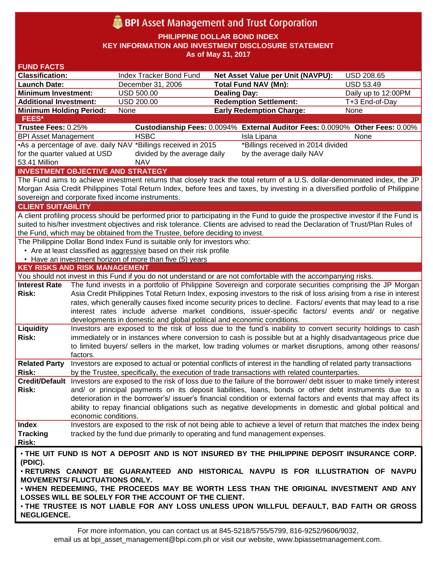# **BPI** Asset Management and Trust Corporation

**PHILIPPINE DOLLAR BOND INDEX**

**KEY INFORMATION AND INVESTMENT DISCLOSURE STATEMENT**

**As of May 31, 2017**

| <b>Classification:</b>                                                                                                             |                                                                                                                                                                                                                                      |                                                                                                                                 |                     |  |
|------------------------------------------------------------------------------------------------------------------------------------|--------------------------------------------------------------------------------------------------------------------------------------------------------------------------------------------------------------------------------------|---------------------------------------------------------------------------------------------------------------------------------|---------------------|--|
|                                                                                                                                    | Index Tracker Bond Fund                                                                                                                                                                                                              | <b>Net Asset Value per Unit (NAVPU):</b>                                                                                        | <b>USD 208.65</b>   |  |
| <b>Launch Date:</b>                                                                                                                | December 31, 2006                                                                                                                                                                                                                    | <b>Total Fund NAV (Mn):</b>                                                                                                     | <b>USD 53.49</b>    |  |
| <b>Minimum Investment:</b>                                                                                                         | <b>USD 500.00</b>                                                                                                                                                                                                                    | <b>Dealing Day:</b>                                                                                                             | Daily up to 12:00PM |  |
| <b>Additional Investment:</b>                                                                                                      | <b>USD 200.00</b>                                                                                                                                                                                                                    | <b>Redemption Settlement:</b>                                                                                                   | T+3 End-of-Day      |  |
| <b>Minimum Holding Period:</b>                                                                                                     | None                                                                                                                                                                                                                                 | <b>Early Redemption Charge:</b>                                                                                                 | None                |  |
| <b>FEES*</b>                                                                                                                       |                                                                                                                                                                                                                                      |                                                                                                                                 |                     |  |
| Trustee Fees: 0.25%                                                                                                                |                                                                                                                                                                                                                                      | Custodianship Fees: 0.0094% External Auditor Fees: 0.0090% Other Fees: 0.00%                                                    |                     |  |
| <b>BPI Asset Management</b>                                                                                                        | <b>HSBC</b>                                                                                                                                                                                                                          | Isla Lipana                                                                                                                     | None                |  |
| *Billings received in 2014 divided<br>•As a percentage of ave. daily NAV *Billings received in 2015                                |                                                                                                                                                                                                                                      |                                                                                                                                 |                     |  |
| for the quarter valued at USD                                                                                                      | divided by the average daily<br>by the average daily NAV                                                                                                                                                                             |                                                                                                                                 |                     |  |
| 53.41 Million                                                                                                                      | <b>NAV</b>                                                                                                                                                                                                                           |                                                                                                                                 |                     |  |
| <b>INVESTMENT OBJECTIVE AND STRATEGY</b>                                                                                           |                                                                                                                                                                                                                                      |                                                                                                                                 |                     |  |
|                                                                                                                                    |                                                                                                                                                                                                                                      | The Fund aims to achieve investment returns that closely track the total return of a U.S. dollar-denominated index, the JP      |                     |  |
|                                                                                                                                    |                                                                                                                                                                                                                                      | Morgan Asia Credit Philippines Total Return Index, before fees and taxes, by investing in a diversified portfolio of Philippine |                     |  |
| sovereign and corporate fixed income instruments.                                                                                  |                                                                                                                                                                                                                                      |                                                                                                                                 |                     |  |
| <b>CLIENT SUITABILITY</b>                                                                                                          |                                                                                                                                                                                                                                      |                                                                                                                                 |                     |  |
| A client profiling process should be performed prior to participating in the Fund to guide the prospective investor if the Fund is |                                                                                                                                                                                                                                      |                                                                                                                                 |                     |  |
|                                                                                                                                    |                                                                                                                                                                                                                                      | suited to his/her investment objectives and risk tolerance. Clients are advised to read the Declaration of Trust/Plan Rules of  |                     |  |
|                                                                                                                                    | the Fund, which may be obtained from the Trustee, before deciding to invest.                                                                                                                                                         |                                                                                                                                 |                     |  |
| The Philippine Dollar Bond Index Fund is suitable only for investors who:                                                          |                                                                                                                                                                                                                                      |                                                                                                                                 |                     |  |
| • Are at least classified as aggressive based on their risk profile                                                                |                                                                                                                                                                                                                                      |                                                                                                                                 |                     |  |
| • Have an investment horizon of more than five (5) years                                                                           |                                                                                                                                                                                                                                      |                                                                                                                                 |                     |  |
| <b>KEY RISKS AND RISK MANAGEMENT</b>                                                                                               |                                                                                                                                                                                                                                      |                                                                                                                                 |                     |  |
|                                                                                                                                    |                                                                                                                                                                                                                                      | You should not invest in this Fund if you do not understand or are not comfortable with the accompanying risks.                 |                     |  |
| <b>Interest Rate</b>                                                                                                               |                                                                                                                                                                                                                                      | The fund invests in a portfolio of Philippine Sovereign and corporate securities comprising the JP Morgan                       |                     |  |
| Risk:                                                                                                                              | Asia Credit Philippines Total Return Index, exposing investors to the risk of loss arising from a rise in interest<br>rates, which generally causes fixed income security prices to decline. Factors/ events that may lead to a rise |                                                                                                                                 |                     |  |
|                                                                                                                                    |                                                                                                                                                                                                                                      | interest rates include adverse market conditions, issuer-specific factors/ events and/ or negative                              |                     |  |
|                                                                                                                                    |                                                                                                                                                                                                                                      | developments in domestic and global political and economic conditions.                                                          |                     |  |
| Liquidity                                                                                                                          |                                                                                                                                                                                                                                      |                                                                                                                                 |                     |  |
|                                                                                                                                    |                                                                                                                                                                                                                                      |                                                                                                                                 |                     |  |
|                                                                                                                                    |                                                                                                                                                                                                                                      | Investors are exposed to the risk of loss due to the fund's inability to convert security holdings to cash                      |                     |  |
| Risk:                                                                                                                              |                                                                                                                                                                                                                                      | immediately or in instances where conversion to cash is possible but at a highly disadvantageous price due                      |                     |  |
|                                                                                                                                    |                                                                                                                                                                                                                                      | to limited buyers/ sellers in the market, low trading volumes or market disruptions, among other reasons/                       |                     |  |
| factors.                                                                                                                           |                                                                                                                                                                                                                                      |                                                                                                                                 |                     |  |
| <b>Related Party</b>                                                                                                               |                                                                                                                                                                                                                                      | Investors are exposed to actual or potential conflicts of interest in the handling of related party transactions                |                     |  |
| Risk:                                                                                                                              |                                                                                                                                                                                                                                      | by the Trustee, specifically, the execution of trade transactions with related counterparties.                                  |                     |  |
|                                                                                                                                    |                                                                                                                                                                                                                                      | Credit/Default Investors are exposed to the risk of loss due to the failure of the borrower/debt issuer to make timely interest |                     |  |
| Risk:                                                                                                                              |                                                                                                                                                                                                                                      | and/ or principal payments on its deposit liabilities, loans, bonds or other debt instruments due to a                          |                     |  |
|                                                                                                                                    |                                                                                                                                                                                                                                      | deterioration in the borrower's/ issuer's financial condition or external factors and events that may affect its                |                     |  |
|                                                                                                                                    |                                                                                                                                                                                                                                      | ability to repay financial obligations such as negative developments in domestic and global political and                       |                     |  |
|                                                                                                                                    | economic conditions.                                                                                                                                                                                                                 |                                                                                                                                 |                     |  |
| <b>Index</b>                                                                                                                       |                                                                                                                                                                                                                                      | Investors are exposed to the risk of not being able to achieve a level of return that matches the index being                   |                     |  |
| <b>Tracking</b>                                                                                                                    |                                                                                                                                                                                                                                      | tracked by the fund due primarily to operating and fund management expenses.                                                    |                     |  |
| Risk:                                                                                                                              |                                                                                                                                                                                                                                      |                                                                                                                                 |                     |  |
|                                                                                                                                    |                                                                                                                                                                                                                                      | . THE UIT FUND IS NOT A DEPOSIT AND IS NOT INSURED BY THE PHILIPPINE DEPOSIT INSURANCE CORP.                                    |                     |  |
| (PDIC).                                                                                                                            |                                                                                                                                                                                                                                      |                                                                                                                                 |                     |  |
|                                                                                                                                    |                                                                                                                                                                                                                                      | . RETURNS CANNOT BE GUARANTEED AND HISTORICAL NAVPU IS FOR ILLUSTRATION OF NAVPU                                                |                     |  |
| <b>MOVEMENTS/ FLUCTUATIONS ONLY.</b>                                                                                               |                                                                                                                                                                                                                                      |                                                                                                                                 |                     |  |
|                                                                                                                                    |                                                                                                                                                                                                                                      | . WHEN REDEEMING, THE PROCEEDS MAY BE WORTH LESS THAN THE ORIGINAL INVESTMENT AND ANY                                           |                     |  |
|                                                                                                                                    | LOSSES WILL BE SOLELY FOR THE ACCOUNT OF THE CLIENT.                                                                                                                                                                                 | . THE TRUSTEE IS NOT LIABLE FOR ANY LOSS UNLESS UPON WILLFUL DEFAULT, BAD FAITH OR GROSS                                        |                     |  |

For more information, you can contact us at 845-5218/5755/5799, 816-9252/9606/9032, email us at bpi\_asset\_management@bpi.com.ph or visit our website, www.bpiassetmanagement.com.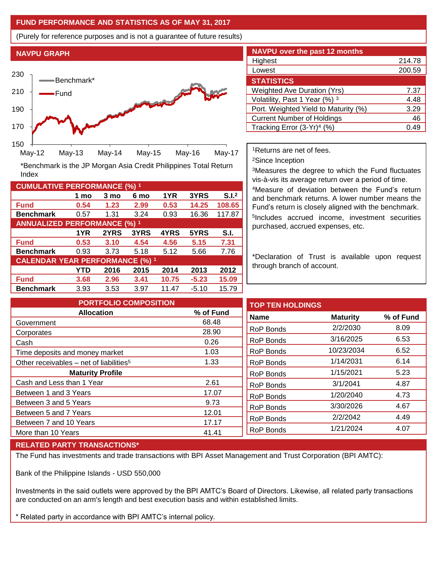## **FUND PERFORMANCE AND STATISTICS AS OF MAY 31, 2017**

(Purely for reference purposes and is not a guarantee of future results)

**NAVPU GRAPH**

Index



**Fund 0.54 1.23 2.99 0.53 14.25 108.65 Benchmark** 0.57 1.31 3.24 0.93 16.36 117.87

\*Benchmark is the JP Morgan Asia Credit Philippines Total Return

**Fund 0.53 3.10 4.54 4.56 5.15 7.31 Benchmark** 0.93 3.73 5.18 5.12 5.66 7.76

**Fund 3.68 2.96 3.41 10.75 -5.23 15.09 Benchmark** 3.93 3.53 3.97 11.47 -5.10 15.79

**1 mo 3 mo 6 mo 1YR 3YRS S.I.<sup>2</sup>**

**1YR 2YRS 3YRS 4YRS 5YRS S.I.**

**YTD 2016 2015 2014 2013 2012**

| <b>NAVPU</b> over the past 12 months |        |  |  |
|--------------------------------------|--------|--|--|
| Highest                              | 214.78 |  |  |
| Lowest                               | 200.59 |  |  |
| <b>STATISTICS</b>                    |        |  |  |
| <b>Weighted Ave Duration (Yrs)</b>   | 7.37   |  |  |
| Volatility, Past 1 Year (%) 3        | 4.48   |  |  |
| Port. Weighted Yield to Maturity (%) | 3.29   |  |  |
| <b>Current Number of Holdings</b>    | 46     |  |  |
| Tracking Error $(3-Yr)^4$ (%)        | -49    |  |  |

<sup>1</sup>Returns are net of fees.

<sup>2</sup>Since Inception

<sup>3</sup>Measures the degree to which the Fund fluctuates vis-à-vis its average return over a period of time.

<sup>4</sup>Measure of deviation between the Fund's return and benchmark returns. A lower number means the Fund's return is closely aligned with the benchmark. 5 Includes accrued income, investment securities purchased, accrued expenses, etc.

\*Declaration of Trust is available upon request through branch of account.

**TOP TEN HOLDINGS Name Maturity % of Fund** RoP Bonds 2/2/2030 8.09 RoP Bonds 3/16/2025 6.53 RoP Bonds 10/23/2034 6.52 RoP Bonds 1/14/2031 6.14 RoP Bonds 1/15/2021 5.23 RoP Bonds 3/1/2041 4.87 RoP Bonds 1/20/2040 4.73 RoP Bonds 3/30/2026 4.67 RoP Bonds 2/2/2042 4.49 RoP Bonds 1/21/2024 4.07 **PORTFOLIO COMPOSITION Allocation % of Fund** Government 68.48 Corporates 28.90 Cash 0.26 Time deposits and money market 1.03 Other receivables – net of liabilities<sup>5</sup>  $1.33$ **Maturity Profile** Cash and Less than 1 Year 2.61 Between 1 and 3 Years 17.07 Between 3 and 5 Years 6 and 1 and 1 and 1 and 1 and 1 and 1 and 1 and 1 and 1 and 1 and 1 and 1 and 1 and 1 and 1 and 1 and 1 and 1 and 1 and 1 and 1 and 1 and 1 and 1 and 1 and 1 and 1 and 1 and 1 and 1 and 1 and 1 and 1 Between 5 and 7 Years 12.01 Between 7 and 10 Years 17.17 More than 10 Years 41.41

## **RELATED PARTY TRANSACTIONS\***

**CUMULATIVE PERFORMANCE (%) <sup>1</sup>**

**ANNUALIZED PERFORMANCE (%) <sup>1</sup>**

**CALENDAR YEAR PERFORMANCE (%) <sup>1</sup>**

The Fund has investments and trade transactions with BPI Asset Management and Trust Corporation (BPI AMTC):

Bank of the Philippine Islands - USD 550,000

Investments in the said outlets were approved by the BPI AMTC's Board of Directors. Likewise, all related party transactions are conducted on an arm's length and best execution basis and within established limits.

\* Related party in accordance with BPI AMTC's internal policy.